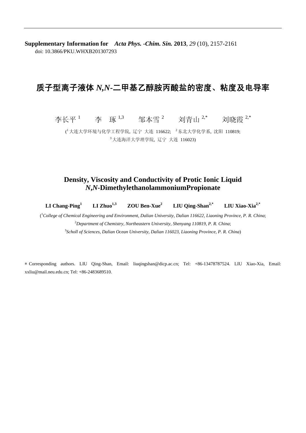**Supplementary Information for** *Acta Phys. -Chim. Sin.* **2013**, *29* (10), 2157-2161 doi: 10.3866/PKU.WHXB201307293

## 质子型离子液体 *N,N***-**二甲基乙醇胺丙酸盐的密度、粘度及电导率

李长平  $^1$  李 琢  $^{1,3}$  邹本雪  $^2$  刘青山  $^{2,*}$  刘晓霞  $^{2,*}$ 

( <sup>1</sup> 大连大学环境与化学工程学院, 辽宁 大连 116622; <sup>2</sup>东北大学化学系, 沈阳 110819; <sup>3</sup> 大连海洋大学理学院, 辽宁 大连 116023)

## **Density, Viscosity and Conductivity of Protic Ionic Liquid**  *N***,***N***-DimethylethanolammoniumPropionate**

**LI Chang-Ping<sup>1</sup> LI Zhuo1,3 ZOU Ben-Xue2 LIU Qing-Shan2,\* LIU Xiao-Xia2,\***

( 1 *College of Chemical Engineering and Environment, Dalian University, Dalian 116622, Liaoning Province, P. R. China*; 2 *Department of Chemistry, Northeastern University, Shenyang 110819, P. R. China*; 3 *Scholl of Sciences, Dalian Ocean University, Dalian 116023, Liaoning Province, P. R. China*)

∗ Corresponding authors. LIU Qing-Shan, Email: liuqingshan@dicp.ac.cn; Tel: +86-13478787524. LIU Xiao-Xia, Email: xxliu@mail.neu.edu.cn; Tel: +86-2483689510.